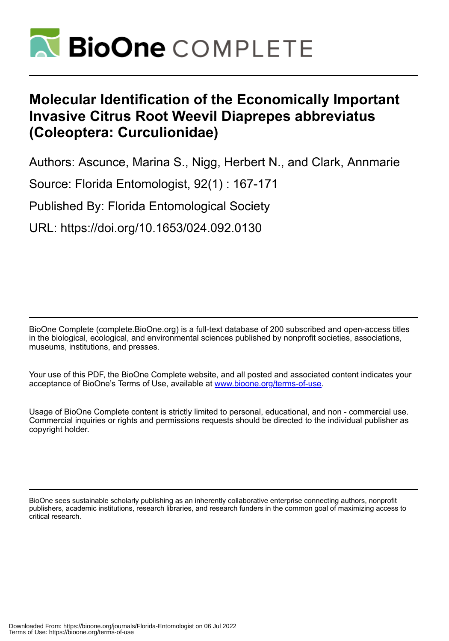

## **Molecular Identification of the Economically Important Invasive Citrus Root Weevil Diaprepes abbreviatus (Coleoptera: Curculionidae)**

Authors: Ascunce, Marina S., Nigg, Herbert N., and Clark, Annmarie

Source: Florida Entomologist, 92(1) : 167-171

Published By: Florida Entomological Society

URL: https://doi.org/10.1653/024.092.0130

BioOne Complete (complete.BioOne.org) is a full-text database of 200 subscribed and open-access titles in the biological, ecological, and environmental sciences published by nonprofit societies, associations, museums, institutions, and presses.

Your use of this PDF, the BioOne Complete website, and all posted and associated content indicates your acceptance of BioOne's Terms of Use, available at www.bioone.org/terms-of-use.

Usage of BioOne Complete content is strictly limited to personal, educational, and non - commercial use. Commercial inquiries or rights and permissions requests should be directed to the individual publisher as copyright holder.

BioOne sees sustainable scholarly publishing as an inherently collaborative enterprise connecting authors, nonprofit publishers, academic institutions, research libraries, and research funders in the common goal of maximizing access to critical research.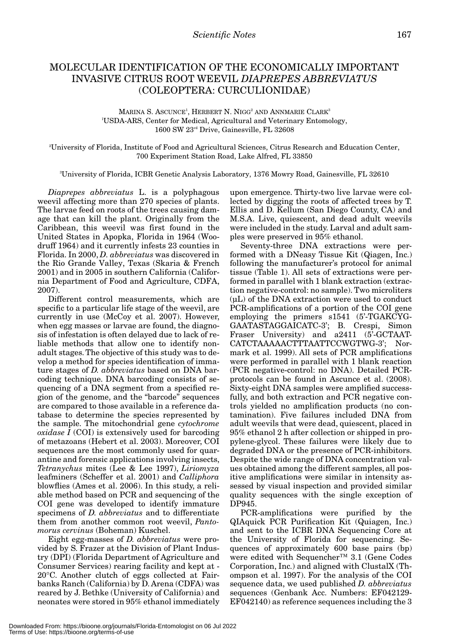## MOLECULAR IDENTIFICATION OF THE ECONOMICALLY IMPORTANT INVASIVE CITRUS ROOT WEEVIL *DIAPREPES ABBREVIATUS* (COLEOPTERA: CURCULIONIDAE)

MARINA S. ASCUNCE<sup>1</sup>, HERBERT N. NIGG<sup>2</sup> AND ANNMARIE CLARK<sup>3</sup> 1 USDA-ARS, Center for Medical, Agricultural and Veterinary Entomology, 1600 SW 23rd Drive, Gainesville, FL 32608

2 University of Florida, Institute of Food and Agricultural Sciences, Citrus Research and Education Center, 700 Experiment Station Road, Lake Alfred, FL 33850

3 University of Florida, ICBR Genetic Analysis Laboratory, 1376 Mowry Road, Gainesville, FL 32610

*Diaprepes abbreviatus* L. is a polyphagous weevil affecting more than 270 species of plants. The larvae feed on roots of the trees causing damage that can kill the plant. Originally from the Caribbean, this weevil was first found in the United States in Apopka, Florida in 1964 (Woodruff 1964) and it currently infests 23 counties in Florida. In 2000, *D. abbreviatus* was discovered in the Rio Grande Valley, Texas (Skaria & French 2001) and in 2005 in southern California (California Department of Food and Agriculture, CDFA, 2007).

Different control measurements, which are specific to a particular life stage of the weevil, are currently in use (McCoy et al. 2007). However, when egg masses or larvae are found, the diagnosis of infestation is often delayed due to lack of reliable methods that allow one to identify nonadult stages. The objective of this study was to develop a method for species identification of immature stages of *D. abbreviatus* based on DNA barcoding technique. DNA barcoding consists of sequencing of a DNA segment from a specified region of the genome, and the "barcode" sequences are compared to those available in a reference database to determine the species represented by the sample. The mitochondrial gene *cytochrome oxidase I* (COI) is extensively used for barcoding of metazoans (Hebert et al. 2003). Moreover, COI sequences are the most commonly used for quarantine and forensic applications involving insects, *Tetranychus* mites (Lee & Lee 1997), *Liriomyza* leafminers (Scheffer et al. 2001) and *Calliphora* blowflies (Ames et al. 2006). In this study, a reliable method based on PCR and sequencing of the COI gene was developed to identify immature specimens of *D. abbreviatus* and to differentiate them from another common root weevil, *Pantomorus cervinus* (Boheman) Kuschel.

Eight egg-masses of *D. abbreviatus* were provided by S. Frazer at the Division of Plant Industry (DPI) (Florida Department of Agriculture and Consumer Services) rearing facility and kept at - 20°C. Another clutch of eggs collected at Fairbanks Ranch (California) by D. Arena (CDFA) was reared by J. Bethke (University of California) and neonates were stored in 95% ethanol immediately upon emergence. Thirty-two live larvae were collected by digging the roots of affected trees by T. Ellis and D. Kellum (San Diego County, CA) and M.S.A. Live, quiescent, and dead adult weevils were included in the study. Larval and adult samples were preserved in 95% ethanol.

Seventy-three DNA extractions were performed with a DNeasy Tissue Kit (Qiagen, Inc.) following the manufacturer's protocol for animal tissue (Table 1). All sets of extractions were performed in parallel with 1 blank extraction (extraction negative-control: no sample). Two microliters (μL) of the DNA extraction were used to conduct PCR-amplifications of a portion of the COI gene employing the primers s1541 (5'-TGAKCYG-GAATASTAGGAICATC-3'; B. Crespi, Simon Fraser University) and a2411 (5'-GCTAAT-CATCTAAAAACTTTAATTCCWGTWG-3'; Normark et al. 1999). All sets of PCR amplifications were performed in parallel with 1 blank reaction (PCR negative-control: no DNA). Detailed PCRprotocols can be found in Ascunce et al. (2008). Sixty-eight DNA samples were amplified successfully, and both extraction and PCR negative controls yielded no amplification products (no contamination). Five failures included DNA from adult weevils that were dead, quiescent, placed in 95% ethanol 2 h after collection or shipped in propylene-glycol. These failures were likely due to degraded DNA or the presence of PCR-inhibitors. Despite the wide range of DNA concentration values obtained among the different samples, all positive amplifications were similar in intensity assessed by visual inspection and provided similar quality sequences with the single exception of DP945.

PCR-amplifications were purified by the QIAquick PCR Purification Kit (Quiagen, Inc.) and sent to the ICBR DNA Sequencing Core at the University of Florida for sequencing. Sequences of approximately 600 base pairs (bp) were edited with Sequencher™ 3.1 (Gene Codes Corporation, Inc.) and aligned with ClustalX (Thompson et al. 1997). For the analysis of the COI sequence data, we used published *D. abbreviatus* sequences (Genbank Acc. Numbers: EF042129- EF042140) as reference sequences including the 3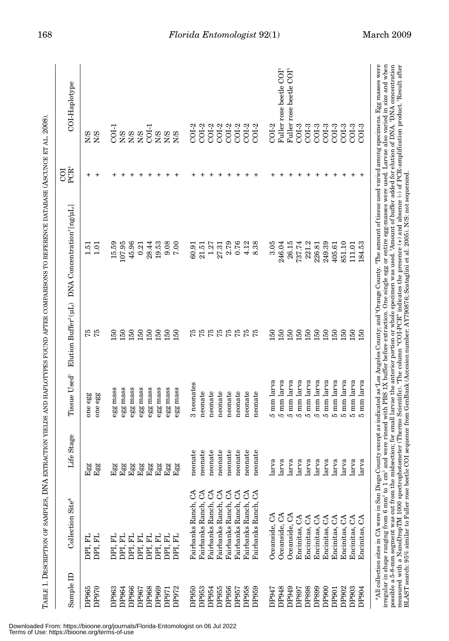| ï                                                                                                                                                                                                                              |
|--------------------------------------------------------------------------------------------------------------------------------------------------------------------------------------------------------------------------------|
| )<br>)<br>                                                                                                                                                                                                                     |
|                                                                                                                                                                                                                                |
|                                                                                                                                                                                                                                |
|                                                                                                                                                                                                                                |
|                                                                                                                                                                                                                                |
|                                                                                                                                                                                                                                |
|                                                                                                                                                                                                                                |
|                                                                                                                                                                                                                                |
| こくこう こうこうしょう しょうしょうしょう くろく                                                                                                                                                                                                     |
|                                                                                                                                                                                                                                |
| ֖֖֖֖֖֪ׅ֖ׅ֪ׅ֪֪ׅ֛֪֪֪ׅ֧֪֪֪ׅ֚֚֚֚֚֚֚֚֚֚֚֚֚֚֚֚֚֚֚֚֚֚֚֚֚֚֬֓֞֓֞֓֞֓                                                                                                                                                                     |
| ֧֧֧֦֧ׅ֧֧ׅ֧֧ׅ֧ׅ֧ׅ֧֧ׅ֧֧ׅ֧֧ׅ֧֧֧֧֧֛֚֚֚֚֚֚֚֚֚֚֚֚֚֚֚֚֚֚֚֚֚֚֚֚֚֚֚֚֚֚֚֚֚֚֝֝֓֜֓֓֜֓֝֓֜֓֜֜֓֝֬֜֓֜֝֬֜֝֬֜֝֬֜                                                                                                                                 |
|                                                                                                                                                                                                                                |
|                                                                                                                                                                                                                                |
|                                                                                                                                                                                                                                |
| read to the contract of the contract of the contract of the contract of the contract of the contract of the contract of the contract of the contract of the contract of the contract of the contract of the contract of the co |
|                                                                                                                                                                                                                                |
|                                                                                                                                                                                                                                |
|                                                                                                                                                                                                                                |
|                                                                                                                                                                                                                                |
|                                                                                                                                                                                                                                |
|                                                                                                                                                                                                                                |
|                                                                                                                                                                                                                                |
|                                                                                                                                                                                                                                |
|                                                                                                                                                                                                                                |
| $\sim$ 7.14                                                                                                                                                                                                                    |
|                                                                                                                                                                                                                                |
|                                                                                                                                                                                                                                |
|                                                                                                                                                                                                                                |
|                                                                                                                                                                                                                                |
|                                                                                                                                                                                                                                |
|                                                                                                                                                                                                                                |
| ׇ֠                                                                                                                                                                                                                             |
|                                                                                                                                                                                                                                |
|                                                                                                                                                                                                                                |

| Sample ID         | Collection Site®                                                           | Life Stage                 |                    |                | Tissue Used <sup>1</sup> Elution Buffer <sup>2</sup> (uL) DNA Concentration <sup>3</sup> [ng/uL]                                                                                                                                                                                                                                                                                                                                                                                                                                                                                                                                                                                                                                             | PCR <sup>4</sup><br>ō  | COI-Haplotype                       |
|-------------------|----------------------------------------------------------------------------|----------------------------|--------------------|----------------|----------------------------------------------------------------------------------------------------------------------------------------------------------------------------------------------------------------------------------------------------------------------------------------------------------------------------------------------------------------------------------------------------------------------------------------------------------------------------------------------------------------------------------------------------------------------------------------------------------------------------------------------------------------------------------------------------------------------------------------------|------------------------|-------------------------------------|
| DP965<br>DP970    | DPI, FL<br>DPI, FL                                                         | ${\rm Egg}$<br>${\rm Egg}$ | one egg<br>one egg | 57<br>75       | 1.51<br>1.01                                                                                                                                                                                                                                                                                                                                                                                                                                                                                                                                                                                                                                                                                                                                 | $\pmb{+}$<br>$\ddot{}$ | N/S<br>N/S                          |
| DP963             | 님<br>DPI.                                                                  | $_{\rm{Eg}}$               | egg mass           | $\frac{50}{2}$ | 15.59                                                                                                                                                                                                                                                                                                                                                                                                                                                                                                                                                                                                                                                                                                                                        |                        | $COI-1$                             |
| DP964             | DPI, FL                                                                    | Egg                        | egg mass           | 150            | 107.95                                                                                                                                                                                                                                                                                                                                                                                                                                                                                                                                                                                                                                                                                                                                       |                        |                                     |
| DP966             | DPI, FL                                                                    | Egg                        | egg mass           | 150            | 45.96                                                                                                                                                                                                                                                                                                                                                                                                                                                                                                                                                                                                                                                                                                                                        |                        |                                     |
| DP967             | DPI, FL                                                                    | Egg                        | egg mass           | 150            | 0.21                                                                                                                                                                                                                                                                                                                                                                                                                                                                                                                                                                                                                                                                                                                                         |                        |                                     |
| DP968             | DPI, FL                                                                    | Egg                        | egg mass           | 150            | 28.44                                                                                                                                                                                                                                                                                                                                                                                                                                                                                                                                                                                                                                                                                                                                        |                        |                                     |
| DP969             | DPI, FL                                                                    | Egg                        | egg mass           | 150            | 19.53                                                                                                                                                                                                                                                                                                                                                                                                                                                                                                                                                                                                                                                                                                                                        |                        |                                     |
| DP971             | DPI. FL                                                                    | Egg                        | egg mass           | 150            | 9.08                                                                                                                                                                                                                                                                                                                                                                                                                                                                                                                                                                                                                                                                                                                                         |                        | <b>EEE</b><br>EEE                   |
| DP972             | DPI.FL                                                                     | ${\rm Egg}$                | egg mass           | 150            | 7.00                                                                                                                                                                                                                                                                                                                                                                                                                                                                                                                                                                                                                                                                                                                                         |                        |                                     |
| DP950             | Fairbanks Ranch, CA                                                        | neonate                    | 3 neonates         | 75             | 60.91                                                                                                                                                                                                                                                                                                                                                                                                                                                                                                                                                                                                                                                                                                                                        |                        | $COI-2$                             |
| DP953             | I<br>Fairbanks Ranch,                                                      | neonate                    | neonate            | 75             | 21.51                                                                                                                                                                                                                                                                                                                                                                                                                                                                                                                                                                                                                                                                                                                                        |                        | $COI-2$                             |
| DP954             | $\Im$<br>Fairbanks Ranch,                                                  | neonate                    | neonate            | 75             | 1.27                                                                                                                                                                                                                                                                                                                                                                                                                                                                                                                                                                                                                                                                                                                                         |                        | $COI-2$                             |
| DP955             | G<br>Fairbanks Ranch,                                                      | neonate                    | neonate            | 75             | 27.31                                                                                                                                                                                                                                                                                                                                                                                                                                                                                                                                                                                                                                                                                                                                        |                        | $COI-2$                             |
| DP956             | G<br>Fairbanks Ranch,                                                      | neonate                    | neonate            | 75             | 2.79                                                                                                                                                                                                                                                                                                                                                                                                                                                                                                                                                                                                                                                                                                                                         |                        | $COI-2$                             |
| DP957             | రే<br>Fairbanks Ranch,                                                     | neonate                    | neonate            | 75             | 0.76                                                                                                                                                                                                                                                                                                                                                                                                                                                                                                                                                                                                                                                                                                                                         |                        | $COI-2$                             |
| DP958             | G<br>Fairbanks Ranch,                                                      | neonate                    | neonate            | 75             | 4.12                                                                                                                                                                                                                                                                                                                                                                                                                                                                                                                                                                                                                                                                                                                                         |                        | $COI-2$                             |
| DP959             | Fairbanks Ranch, CA                                                        | neonate                    | neonate            | 75             | 8.38                                                                                                                                                                                                                                                                                                                                                                                                                                                                                                                                                                                                                                                                                                                                         |                        | $COI-2$                             |
| DP947             | Oceanside, CA                                                              | larva                      | 5 mm larva         | 150            | 3.05                                                                                                                                                                                                                                                                                                                                                                                                                                                                                                                                                                                                                                                                                                                                         |                        | $COI-2$                             |
| DP948             | Oceanside, CA                                                              | larva                      | 5 mm larva         | 150            | 246.04                                                                                                                                                                                                                                                                                                                                                                                                                                                                                                                                                                                                                                                                                                                                       |                        | Fuller rose beetle COI <sup>5</sup> |
| DP949             | Oceanside, CA                                                              | larva                      | 5 mm larva         | 150            | 26.15                                                                                                                                                                                                                                                                                                                                                                                                                                                                                                                                                                                                                                                                                                                                        |                        | Fuller rose beetle COI <sup>6</sup> |
| DP897             | Encinitas, CA                                                              | larva                      | 5 mm larva         | 150            | 737.74                                                                                                                                                                                                                                                                                                                                                                                                                                                                                                                                                                                                                                                                                                                                       |                        | $COI-3$                             |
| DP898             | Encinitas, CA                                                              | larva                      | 5 mm larva         | 150            | 221.2                                                                                                                                                                                                                                                                                                                                                                                                                                                                                                                                                                                                                                                                                                                                        |                        | $COI-3$                             |
| DP899             | Encinitas, CA                                                              | larva                      | 5 mm larva         | 150            | 226.81                                                                                                                                                                                                                                                                                                                                                                                                                                                                                                                                                                                                                                                                                                                                       |                        | $COI-3$                             |
| DP900             | Encinitas, CA                                                              | larva                      | 5 mm larva         | 150            | 249.39                                                                                                                                                                                                                                                                                                                                                                                                                                                                                                                                                                                                                                                                                                                                       |                        | $COI-3$                             |
| DP <sub>901</sub> | Encinitas, CA                                                              | larva                      | 5 mm larva         | 150            | 405.61                                                                                                                                                                                                                                                                                                                                                                                                                                                                                                                                                                                                                                                                                                                                       |                        | $COI-3$                             |
| DP902             | చే<br>Encinitas,                                                           | larva                      | 5 mm larva         | 150            | 851.10                                                                                                                                                                                                                                                                                                                                                                                                                                                                                                                                                                                                                                                                                                                                       |                        | $COI-3$                             |
| DP903             | చే<br>Encinitas,                                                           | larva                      | 5 mm larva         | 150            | 111.01                                                                                                                                                                                                                                                                                                                                                                                                                                                                                                                                                                                                                                                                                                                                       |                        | $COI-3$                             |
| DP904             | Encinitas, CA                                                              | larva                      | 5 mm larva         | 150            | 184.53                                                                                                                                                                                                                                                                                                                                                                                                                                                                                                                                                                                                                                                                                                                                       |                        | $C01-3$                             |
|                   | irregular in shape ranging from 6 mm <sup>2</sup> to 1 cm <sup>2</sup> and |                            |                    |                | "All collection sites in CA were in San Diego County except as indicated as Los Angeles County; and 'Orange County, "The amount of tissue used varied among specimens. Egg masses were<br>were rinsed with PBS 1X buffer before extraction. One single egg or entire egg-masses were used. Larvae also varied in size and when<br>possible a 5-8-mm segment was cut from the midsection; for small larvae the anterior portion or whole specimen was used. <sup>2</sup> Amount of buffer added for elution of DNA. <sup>3</sup> DNA concentration<br>measured with a NanoDropTM 1000 spectrophotometer (Thermo Scientific). "The column "COI-PCR" indicates the presence $(+)$ and absence $(-)$ of PCR-amplification product. "Result after |                        |                                     |
|                   |                                                                            |                            |                    |                | BLAST search: 95% similar to Fuller rose beetle COI sequence from GenBank (Accesion number: AY790876; Scataglini et al. 2005). N/S: not sequenced.                                                                                                                                                                                                                                                                                                                                                                                                                                                                                                                                                                                           |                        |                                     |

Downloaded From: https://bioone.org/journals/Florida-Entomologist on 06 Jul 2022 Terms of Use: https://bioone.org/terms-of-use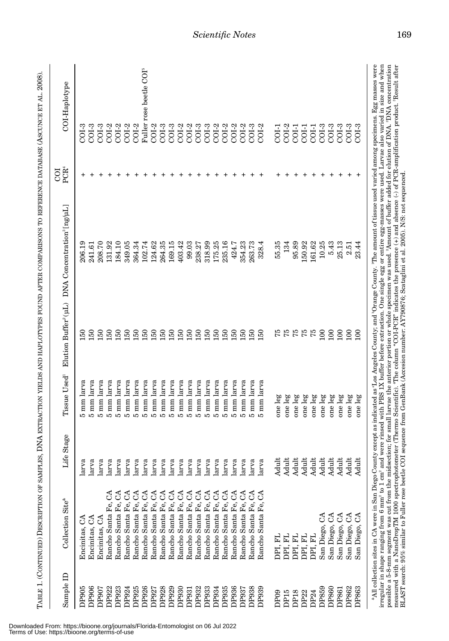| Sample ID        | Collection Site®                                | fe Stage<br>口 | Tissue Used <sup>1</sup> | Elution Buffer <sup>2</sup> (uL) | DNA Concentration <sup>3</sup> [ng/µL]                                                                                                                                                                                                                                                                                                                                                                                                                                                                                                                                                                                                                                                                                                                                                                          | PCR <sup>4</sup><br>ō | COI-Haplotype                       |
|------------------|-------------------------------------------------|---------------|--------------------------|----------------------------------|-----------------------------------------------------------------------------------------------------------------------------------------------------------------------------------------------------------------------------------------------------------------------------------------------------------------------------------------------------------------------------------------------------------------------------------------------------------------------------------------------------------------------------------------------------------------------------------------------------------------------------------------------------------------------------------------------------------------------------------------------------------------------------------------------------------------|-----------------------|-------------------------------------|
| DP905            | Encinitas, CA                                   | larva         | mm larva<br>ທ            | $\overline{50}$                  | 206.19                                                                                                                                                                                                                                                                                                                                                                                                                                                                                                                                                                                                                                                                                                                                                                                                          | +                     | $COI-3$                             |
| DP906            | Encinitas, CA                                   | larva         | 5 mm larva               | 150                              | 241.61                                                                                                                                                                                                                                                                                                                                                                                                                                                                                                                                                                                                                                                                                                                                                                                                          |                       | $COI-3$                             |
| DP907            | Encinitas, CA                                   | larva         | 5 mm larva               | 150                              | 208.70                                                                                                                                                                                                                                                                                                                                                                                                                                                                                                                                                                                                                                                                                                                                                                                                          |                       | $COI-3$                             |
| DP922            | Rancho Santa Fe,                                | larva         | 5 mm larva               | 150                              | 131.92                                                                                                                                                                                                                                                                                                                                                                                                                                                                                                                                                                                                                                                                                                                                                                                                          | +                     | $COI-2$                             |
| DP923            | రే<br>Rancho Santa Fe,                          | larva         | 5 mm larva               | 150                              | 184.10                                                                                                                                                                                                                                                                                                                                                                                                                                                                                                                                                                                                                                                                                                                                                                                                          |                       | $COI-2$                             |
| DP924            | G<br>Rancho Santa Fe,                           | larva         | 5 mm larva               | 150                              | 349.05                                                                                                                                                                                                                                                                                                                                                                                                                                                                                                                                                                                                                                                                                                                                                                                                          |                       | $COI-2$                             |
| DP925            | $\mathcal{L}$<br>Rancho Santa Fe,               | larva         | 5 mm larva               | 150                              | 364.34                                                                                                                                                                                                                                                                                                                                                                                                                                                                                                                                                                                                                                                                                                                                                                                                          |                       | $COI-2$                             |
| DP926            | $\mathcal{L}$<br>Rancho Santa Fe,               | larva         | 5 mm larva               | 150                              | 102.74                                                                                                                                                                                                                                                                                                                                                                                                                                                                                                                                                                                                                                                                                                                                                                                                          |                       | Fuller rose beetle COI <sup>5</sup> |
| DP927            | GA<br>Rancho Santa Fe,                          | larva         | larva<br>$5 \text{ mm}$  | 150                              | 124.62                                                                                                                                                                                                                                                                                                                                                                                                                                                                                                                                                                                                                                                                                                                                                                                                          |                       | COI-2<br>COI-3                      |
| DP928            | $\Im$<br>Rancho Santa Fe,                       | larva         | 5 mm larva               | 150                              | 264.35                                                                                                                                                                                                                                                                                                                                                                                                                                                                                                                                                                                                                                                                                                                                                                                                          |                       |                                     |
| DP929            | Rancho Santa Fe, CA                             | larva         | 5 mm larva               | 150                              | 169.15                                                                                                                                                                                                                                                                                                                                                                                                                                                                                                                                                                                                                                                                                                                                                                                                          |                       | $COI-3$                             |
| DP930            | Rancho Santa Fe, CA                             | larva         | 5 mm larva               | 150                              | 403.42                                                                                                                                                                                                                                                                                                                                                                                                                                                                                                                                                                                                                                                                                                                                                                                                          |                       | $COI-2$                             |
| DP931            | Rancho Santa Fe, CA                             | larva         | 5 mm larva               | 150                              | 99.03                                                                                                                                                                                                                                                                                                                                                                                                                                                                                                                                                                                                                                                                                                                                                                                                           |                       | $COI-2$                             |
| DP932            | Rancho Santa Fe, CA                             | larva         | 5 mm larva               | 150                              | 238.27                                                                                                                                                                                                                                                                                                                                                                                                                                                                                                                                                                                                                                                                                                                                                                                                          |                       | $COI-3$                             |
| DP933            | $\mathcal{L}$<br>Rancho Santa Fe,               | larva         | 5 mm larva               | 150                              | 318.99                                                                                                                                                                                                                                                                                                                                                                                                                                                                                                                                                                                                                                                                                                                                                                                                          |                       | $COI-3$                             |
| DP934            | Rancho Santa Fe, CA                             | larva         | 5 mm larva               | 150                              | 175.25                                                                                                                                                                                                                                                                                                                                                                                                                                                                                                                                                                                                                                                                                                                                                                                                          |                       | $COI-2$                             |
| DP935            | Rancho Santa Fe, CA                             | larva         | 5 mm larva               | 150                              | 235.16                                                                                                                                                                                                                                                                                                                                                                                                                                                                                                                                                                                                                                                                                                                                                                                                          |                       | $COI-2$                             |
| DP936            | Rancho Santa Fe, CA                             | larva         | 5 mm larva               | 150                              | 424.7                                                                                                                                                                                                                                                                                                                                                                                                                                                                                                                                                                                                                                                                                                                                                                                                           |                       | $COI-2$                             |
| DP937            | Rancho Santa Fe, CA                             | larva         | 5 mm larva               | 150                              | 354.23                                                                                                                                                                                                                                                                                                                                                                                                                                                                                                                                                                                                                                                                                                                                                                                                          |                       | $COI-2$                             |
| DP938            | Rancho Santa Fe, CA                             | larva         | 5 mm larva               | 150                              | 263.73                                                                                                                                                                                                                                                                                                                                                                                                                                                                                                                                                                                                                                                                                                                                                                                                          |                       | $C O I - 3$                         |
| DP939            | $\mathcal{C}^{\mathcal{A}}$<br>Rancho Santa Fe, | larva         | 5 mm larva               | 150                              | 328.4                                                                                                                                                                                                                                                                                                                                                                                                                                                                                                                                                                                                                                                                                                                                                                                                           |                       | $COI-2$                             |
| DP <sub>09</sub> | DPI, FL                                         | Adult         | one leg                  | 75                               | 55.35                                                                                                                                                                                                                                                                                                                                                                                                                                                                                                                                                                                                                                                                                                                                                                                                           |                       | COI-1                               |
| DP <sub>15</sub> | DPI, FL                                         | Adult         | one leg                  | 75                               | 134                                                                                                                                                                                                                                                                                                                                                                                                                                                                                                                                                                                                                                                                                                                                                                                                             |                       | $COI-2$                             |
| <b>DP18</b>      | DPI, FL                                         | Adult         | one leg                  | 75                               | 95.89                                                                                                                                                                                                                                                                                                                                                                                                                                                                                                                                                                                                                                                                                                                                                                                                           |                       | COI-1                               |
| DP <sub>22</sub> | DPI, FL                                         | Adult         | one leg                  | 75                               | 150.92                                                                                                                                                                                                                                                                                                                                                                                                                                                                                                                                                                                                                                                                                                                                                                                                          |                       | $COI-1$                             |
| DP <sub>24</sub> | DPI, FL                                         | Adult         | one leg                  | 75                               | 161.62                                                                                                                                                                                                                                                                                                                                                                                                                                                                                                                                                                                                                                                                                                                                                                                                          |                       | $COI-1$                             |
| DP859            | ే<br>San Diego,                                 | Adult         | one leg                  | 100                              | 10.25                                                                                                                                                                                                                                                                                                                                                                                                                                                                                                                                                                                                                                                                                                                                                                                                           |                       | $COI-3$                             |
| DP860            | San Diego, CA                                   | Adult         | one leg                  | 100                              | 5.43                                                                                                                                                                                                                                                                                                                                                                                                                                                                                                                                                                                                                                                                                                                                                                                                            |                       | $COI-3$                             |
| DP861            | San Diego, CA                                   | Adult         | one leg                  | 100                              | 25.13                                                                                                                                                                                                                                                                                                                                                                                                                                                                                                                                                                                                                                                                                                                                                                                                           |                       | $COI-3$                             |
| DP862            | S<br>San Diego,                                 | Adul          | one leg                  | 100                              | 2.51                                                                                                                                                                                                                                                                                                                                                                                                                                                                                                                                                                                                                                                                                                                                                                                                            |                       | $COI-3$                             |
| DP863            | S<br>San Diego,                                 | Adul          | one leg                  | $\overline{100}$                 | 23.44                                                                                                                                                                                                                                                                                                                                                                                                                                                                                                                                                                                                                                                                                                                                                                                                           | +                     | $COI-3$                             |
|                  |                                                 |               |                          |                                  | irregular in shape ranging from 6 mm <sup>2</sup> to 1 cm <sup>2</sup> and were rinsed with PBS IX buffer before extraction. One single egg or entire egg-masses were used. Larvae also varied in size and when<br>"All collection sites in CA were in San Diego County except as indicated as "Los Angeles County; and "Orange County."The amount of tissue used varied among specimens. Egg masses were<br>possible a 5-8-mm segment was cut from the midsection; for small larvae the anterior portion or whole specimen was used. ${}^{2}$ Amount of buffer added for elution of DNA. ${}^{9}$ DNA concentration<br>measured with a NanoDropTM 1000 spectrophotometer (Thermo Scientific). "The column "COI-PCR" indicates the presence $(+)$ and absence $(-)$ of PCR-amplification product. Thesult after |                       |                                     |
|                  |                                                 |               |                          |                                  | BLAST search: 95% similar to Fuller rose beetle COI sequence from GenBank (Accesion number: AY790876; Scataglini et al. 2005). N/S: not sequenced.                                                                                                                                                                                                                                                                                                                                                                                                                                                                                                                                                                                                                                                              |                       |                                     |

Downloaded From: https://bioone.org/journals/Florida-Entomologist on 06 Jul 2022 Terms of Use: https://bioone.org/terms-of-use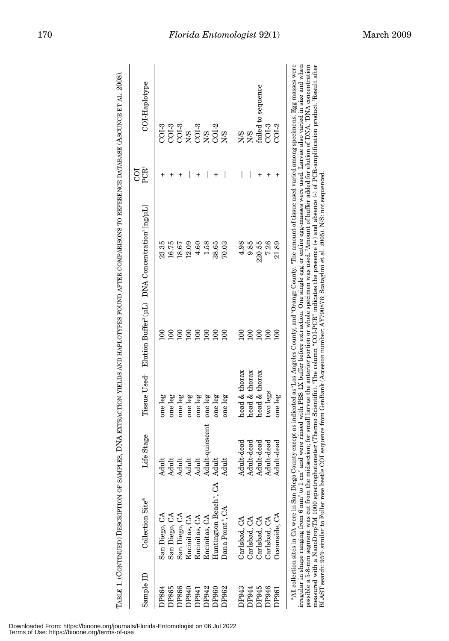| Sample ID   | Collection Site®                                                                                                                                  | Life Stage      |               |                  | Tissue Used <sup>1</sup> Elution Buffer <sup>2</sup> (uL) DNA Concentration <sup>3</sup> [ng/uL]                                                                                                                                                                                                                                                                                                           | PCR <sup>4</sup><br>g | COI-Haplotype                  |
|-------------|---------------------------------------------------------------------------------------------------------------------------------------------------|-----------------|---------------|------------------|------------------------------------------------------------------------------------------------------------------------------------------------------------------------------------------------------------------------------------------------------------------------------------------------------------------------------------------------------------------------------------------------------------|-----------------------|--------------------------------|
| <b>P864</b> | San Diego, CA                                                                                                                                     | Adult           | one leg       |                  | 23.35                                                                                                                                                                                                                                                                                                                                                                                                      |                       | $C01-3$                        |
| DP865       | San Diego, CA                                                                                                                                     | Adult           | one leg       |                  | 16.75                                                                                                                                                                                                                                                                                                                                                                                                      |                       |                                |
| DP866       | San Diego, CA                                                                                                                                     | <b>Adult</b>    | one leg       |                  | 18.67                                                                                                                                                                                                                                                                                                                                                                                                      |                       | COI-3<br>COI-3                 |
| DP940       | Encinitas, CA                                                                                                                                     | Adult           | one leg       | 100              | 12.09                                                                                                                                                                                                                                                                                                                                                                                                      |                       |                                |
| DP941       | Encinitas, CA                                                                                                                                     | Adult           | one leg       | 100              | 4.60                                                                                                                                                                                                                                                                                                                                                                                                       |                       | N/S<br>COL-3<br>COL-2<br>COL-2 |
| DP942       | Encinitas, CA                                                                                                                                     | Adult-quiescent | one leg       | $\overline{100}$ | 1.58                                                                                                                                                                                                                                                                                                                                                                                                       |                       |                                |
| DP960       | Huntington Beach <sup>ª</sup> , CA Adult                                                                                                          |                 | one leg       | 100              | 38.65                                                                                                                                                                                                                                                                                                                                                                                                      |                       |                                |
| DP962       | Dana Point <sup>b</sup> , CA                                                                                                                      | Adult           | one leg       | $\overline{100}$ | 70.03                                                                                                                                                                                                                                                                                                                                                                                                      |                       | 8M                             |
| DP943       | Carlsbad, CA                                                                                                                                      | Adult-dead      | head & thorax |                  | 4.98                                                                                                                                                                                                                                                                                                                                                                                                       |                       | N/S                            |
| DP944       | Carlsbad, CA                                                                                                                                      | Adult-dead      | head & thorax | 100              | 9.85                                                                                                                                                                                                                                                                                                                                                                                                       |                       | <b>S/N</b>                     |
| DP945       | Carlsbad, CA                                                                                                                                      | Adult-dead      | head & thorax | 100              | 220.55                                                                                                                                                                                                                                                                                                                                                                                                     |                       | failed to sequence             |
| DP946       | Carlsbad, CA                                                                                                                                      | Adult-dead      | two legs      | $\overline{0}$   | 7.26                                                                                                                                                                                                                                                                                                                                                                                                       |                       | $COI-3$                        |
| DP961       | Oceanside, CA                                                                                                                                     | Adult-dead      | one leg       | $\overline{100}$ | 21.89                                                                                                                                                                                                                                                                                                                                                                                                      |                       | $COI-2$                        |
|             |                                                                                                                                                   |                 |               |                  | "All collection sites in CA were in San Diego County except as indicated as "Los Angeles County; and "Orange County. "The amount of tissue used varied among specimens. Egg masses were                                                                                                                                                                                                                    |                       |                                |
|             |                                                                                                                                                   |                 |               |                  | irregular in shape ranging from 6 mm <sup>2</sup> to 1 cm <sup>2</sup> and were rinsed with PBS 1X buffer before extraction. One single egg or entire egg-masses were used. Larvae also varied in size and when<br>possible a 5-8-mm segment was cut from the midsection; for small larvae the anterior portion or whole specimen was used. "Amount of buffer added for elution of DNA. "DNA concentration |                       |                                |
|             | BLAST search: 95% similar to Fuller rose beetle COI sequence from GenBank (Accesion number: AY790876; Scataglini et al. 2005). N/S: not sequenced |                 |               |                  | measured with a NanoDropTM 1000 spectrophotometer (Thermo Scientific). "The column "COL-PCR" indicates the presence $(+)$ and absence $(-)$ of PCR-amplification product. "Result after                                                                                                                                                                                                                    |                       |                                |



Downloaded From: https://bioone.org/journals/Florida-Entomologist on 06 Jul 2022 Terms of Use: https://bioone.org/terms-of-use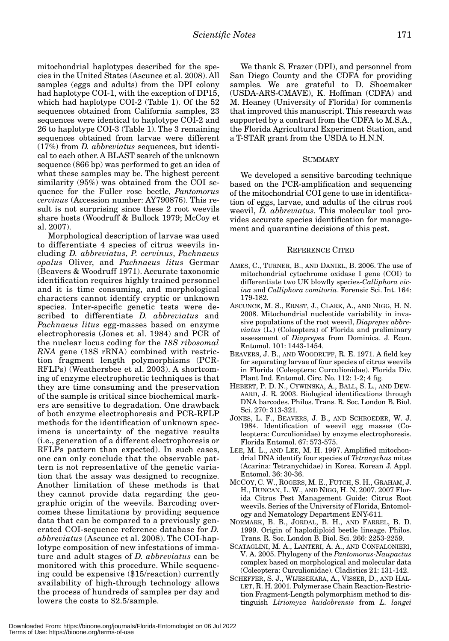mitochondrial haplotypes described for the species in the United States (Ascunce et al. 2008). All samples (eggs and adults) from the DPI colony had haplotype COI-1, with the exception of DP15, which had haplotype COI-2 (Table 1). Of the 52 sequences obtained from California samples, 23 sequences were identical to haplotype COI-2 and 26 to haplotype COI-3 (Table 1). The 3 remaining sequences obtained from larvae were different (17%) from *D. abbreviatus* sequences, but identical to each other. A BLAST search of the unknown sequence (866 bp) was performed to get an idea of what these samples may be. The highest percent similarity (95%) was obtained from the COI sequence for the Fuller rose beetle, *Pantomorus cervinus* (Accession number: AY790876). This result is not surprising since these 2 root weevils share hosts (Woodruff & Bullock 1979; McCoy et al. 2007).

Morphological description of larvae was used to differentiate 4 species of citrus weevils including *D. abbreviatus*, *P. cervinus*, *Pachnaeus opalus* Oliver, and *Pachnaeus litus* Germar (Beavers & Woodruff 1971). Accurate taxonomic identification requires highly trained personnel and it is time consuming, and morphological characters cannot identify cryptic or unknown species. Inter-specific genetic tests were described to differentiate *D. abbreviatus* and *Pachnaeus litus* egg-masses based on enzyme electrophoresis (Jones et al. 1984) and PCR of the nuclear locus coding for the *18S ribosomal RNA* gene (18S rRNA) combined with restriction fragment length polymorphisms (PCR-RFLPs) (Weathersbee et al. 2003). A shortcoming of enzyme electrophoretic techniques is that they are time consuming and the preservation of the sample is critical since biochemical markers are sensitive to degradation. One drawback of both enzyme electrophoresis and PCR-RFLP methods for the identification of unknown specimens is uncertainty of the negative results (i.e., generation of a different electrophoresis or RFLPs pattern than expected). In such cases, one can only conclude that the observable pattern is not representative of the genetic variation that the assay was designed to recognize. Another limitation of these methods is that they cannot provide data regarding the geographic origin of the weevils. Barcoding overcomes these limitations by providing sequence data that can be compared to a previously generated COI-sequence reference database for *D. abbreviatus* (Ascunce et al. 2008). The COI-haplotype composition of new infestations of immature and adult stages of *D. abbreviatus* can be monitored with this procedure. While sequencing could be expensive (\$15/reaction) currently availability of high-through technology allows the process of hundreds of samples per day and lowers the costs to \$2.5/sample.

We thank S. Frazer (DPI), and personnel from San Diego County and the CDFA for providing samples. We are grateful to D. Shoemaker (USDA-ARS-CMAVE), K. Hoffman (CDFA) and M. Heaney (University of Florida) for comments that improved this manuscript. This research was supported by a contract from the CDFA to M.S.A., the Florida Agricultural Experiment Station, and a T-STAR grant from the USDA to H.N.N.

## SUMMARY

We developed a sensitive barcoding technique based on the PCR-amplification and sequencing of the mitochondrial COI gene to use in identification of eggs, larvae, and adults of the citrus root weevil, *D. abbreviatus*. This molecular tool provides accurate species identification for management and quarantine decisions of this pest.

## REFERENCE CITED

- AMES, C., TURNER, B., AND DANIEL, B. 2006. The use of mitochondrial cytochrome oxidase I gene (COI) to differentiate two UK blowfly species-*Calliphora vicina* and *Calliphora vomitoria*. Forensic Sci. Int. 164: 179-182.
- ASCUNCE, M. S., ERNST, J., CLARK, A., AND NIGG, H. N. 2008. Mitochondrial nucleotide variability in invasive populations of the root weevil, *Diaprepes abbreviatus* (L.) (Coleoptera) of Florida and preliminary assessment of *Diaprepes* from Dominica. J. Econ. Entomol. 101: 1443-1454.
- BEAVERS, J. B., AND WOODRUFF, R. E. 1971. A field key for separating larvae of four species of citrus weevils in Florida (Coleoptera: Curculionidae). Florida Div. Plant Ind. Entomol. Circ. No. 112: 1-2; 4 fig.
- HEBERT, P. D. N., CYWINSKA, A., BALL, S. L., AND DEW-AARD, J. R. 2003. Biological identifications through DNA barcodes. Philos. Trans. R. Soc. London B. Biol. Sci. 270: 313-321.
- JONES, L. F., BEAVERS, J. B., AND SCHROEDER, W. J. 1984. Identification of weevil egg masses (Coleoptera: Curculionidae) by enzyme electrophoresis. Florida Entomol. 67: 573-575.
- LEE, M. L., AND LEE, M. H. 1997. Amplified mitochondrial DNA identify four species of *Tetranychus* mites (Acarina: Tetranychidae) in Korea. Korean J. Appl. Entomol. 36: 30-36.
- MCCOY, C. W., ROGERS, M. E., FUTCH, S. H., GRAHAM, J. H., DUNCAN, L. W., AND NIGG, H. N. 2007. 2007 Florida Citrus Pest Management Guide: Citrus Root weevils. Series of the University of Florida, Entomology and Nematology Department ENY-611.
- NORMARK, B. B., JORDAL, B. H., AND FARREL, B. D. 1999. Origin of haplodiploid beetle lineage. Philos. Trans. R. Soc. London B. Biol. Sci. 266: 2253-2259.
- SCATAGLINI, M. A., LANTERI, A. A., AND CONFALONIERI, V. A. 2005. Phylogeny of the *Pantomorus-Naupactus* complex based on morphological and molecular data (Coleoptera: Curculionidae). Cladistics 21: 131-142.
- SCHEFFER, S. J., WIJESEKARA, A., VISSER, D., AND HAL-LET, R. H. 2001. Polymerase Chain Reaction-Restriction Fragment-Length polymorphism method to distinguish *Liriomyza huidobrensis* from *L. langei*